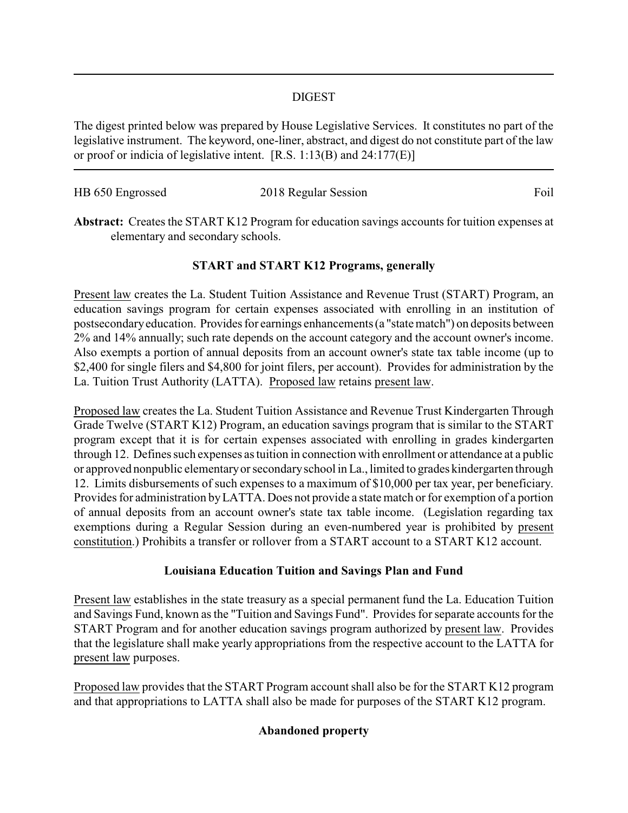### DIGEST

The digest printed below was prepared by House Legislative Services. It constitutes no part of the legislative instrument. The keyword, one-liner, abstract, and digest do not constitute part of the law or proof or indicia of legislative intent. [R.S. 1:13(B) and 24:177(E)]

| HB 650 Engrossed | 2018 Regular Session | Foil |
|------------------|----------------------|------|
|                  |                      |      |

**Abstract:** Creates the START K12 Program for education savings accounts for tuition expenses at elementary and secondary schools.

## **START and START K12 Programs, generally**

Present law creates the La. Student Tuition Assistance and Revenue Trust (START) Program, an education savings program for certain expenses associated with enrolling in an institution of postsecondaryeducation. Provides for earnings enhancements (a "state match") on deposits between 2% and 14% annually; such rate depends on the account category and the account owner's income. Also exempts a portion of annual deposits from an account owner's state tax table income (up to \$2,400 for single filers and \$4,800 for joint filers, per account). Provides for administration by the La. Tuition Trust Authority (LATTA). Proposed law retains present law.

Proposed law creates the La. Student Tuition Assistance and Revenue Trust Kindergarten Through Grade Twelve (START K12) Program, an education savings program that is similar to the START program except that it is for certain expenses associated with enrolling in grades kindergarten through 12. Defines such expenses as tuition in connection with enrollment or attendance at a public or approved nonpublic elementaryor secondaryschool in La., limited to grades kindergarten through 12. Limits disbursements of such expenses to a maximum of \$10,000 per tax year, per beneficiary. Provides for administration byLATTA. Does not provide a state match or for exemption of a portion of annual deposits from an account owner's state tax table income. (Legislation regarding tax exemptions during a Regular Session during an even-numbered year is prohibited by present constitution.) Prohibits a transfer or rollover from a START account to a START K12 account.

## **Louisiana Education Tuition and Savings Plan and Fund**

Present law establishes in the state treasury as a special permanent fund the La. Education Tuition and Savings Fund, known as the "Tuition and Savings Fund". Provides for separate accounts for the START Program and for another education savings program authorized by present law. Provides that the legislature shall make yearly appropriations from the respective account to the LATTA for present law purposes.

Proposed law provides that the START Program account shall also be for the START K12 program and that appropriations to LATTA shall also be made for purposes of the START K12 program.

# **Abandoned property**